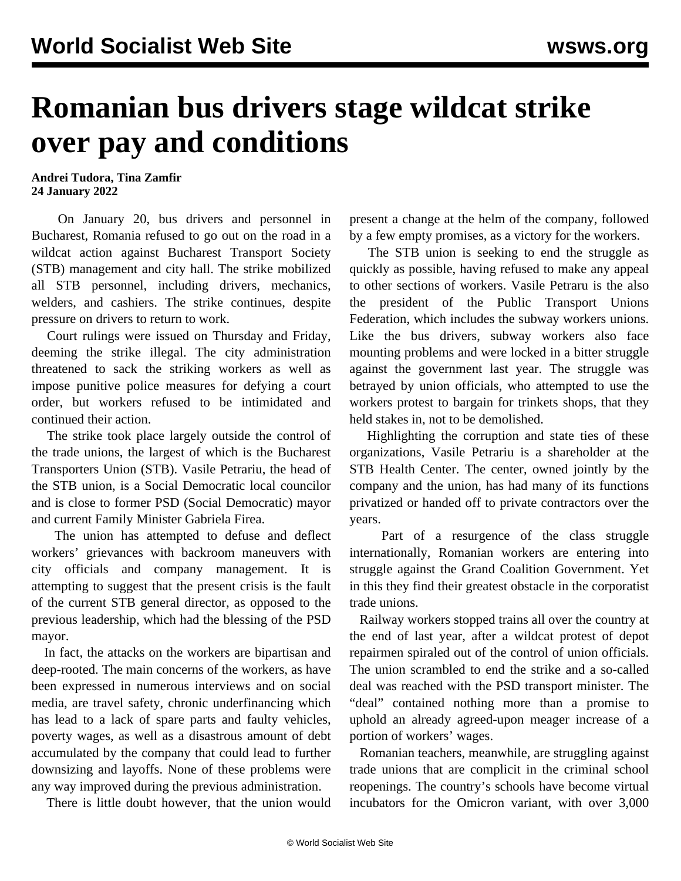## **Romanian bus drivers stage wildcat strike over pay and conditions**

**Andrei Tudora, Tina Zamfir 24 January 2022**

 On January 20, bus drivers and personnel in Bucharest, Romania refused to go out on the road in a wildcat action against Bucharest Transport Society (STB) management and city hall. The strike mobilized all STB personnel, including drivers, mechanics, welders, and cashiers. The strike continues, despite pressure on drivers to return to work.

 Court rulings were issued on Thursday and Friday, deeming the strike illegal. The city administration threatened to sack the striking workers as well as impose punitive police measures for defying a court order, but workers refused to be intimidated and continued their action.

 The strike took place largely outside the control of the trade unions, the largest of which is the Bucharest Transporters Union (STB). Vasile Petrariu, the head of the STB union, is a Social Democratic local councilor and is close to former PSD (Social Democratic) mayor and current Family Minister Gabriela Firea.

 The union has attempted to defuse and deflect workers' grievances with backroom maneuvers with city officials and company management. It is attempting to suggest that the present crisis is the fault of the current STB general director, as opposed to the previous leadership, which had the blessing of the PSD mayor.

 In fact, the attacks on the workers are bipartisan and deep-rooted. The main concerns of the workers, as have been expressed in numerous interviews and on social media, are travel safety, chronic underfinancing which has lead to a lack of spare parts and faulty vehicles, poverty wages, as well as a disastrous amount of debt accumulated by the company that could lead to further downsizing and layoffs. None of these problems were any way improved during the previous administration.

There is little doubt however, that the union would

present a change at the helm of the company, followed by a few empty promises, as a victory for the workers.

 The STB union is seeking to end the struggle as quickly as possible, having refused to make any appeal to other sections of workers. Vasile Petraru is the also the president of the Public Transport Unions Federation, which includes the subway workers unions. Like the bus drivers, subway workers also face mounting problems and were locked in a bitter struggle against the government last year. The struggle was betrayed by union officials, who attempted to use the workers protest to bargain for trinkets shops, that they held stakes in, not to be demolished.

 Highlighting the corruption and state ties of these organizations, Vasile Petrariu is a shareholder at the STB Health Center. The center, owned jointly by the company and the union, has had many of its functions privatized or handed off to private contractors over the years.

 Part of a resurgence of the class struggle internationally, Romanian workers are entering into struggle against the Grand Coalition Government. Yet in this they find their greatest obstacle in the corporatist trade unions.

 Railway workers stopped trains all over the country at the end of last year, after a wildcat protest of depot repairmen spiraled out of the control of union officials. The union scrambled to end the strike and a so-called deal was reached with the PSD transport minister. The "deal" contained nothing more than a promise to uphold an already agreed-upon meager increase of a portion of workers' wages.

 Romanian teachers, meanwhile, are struggling against trade unions that are complicit in the criminal school reopenings. The country's schools have become virtual incubators for the Omicron variant, with over 3,000